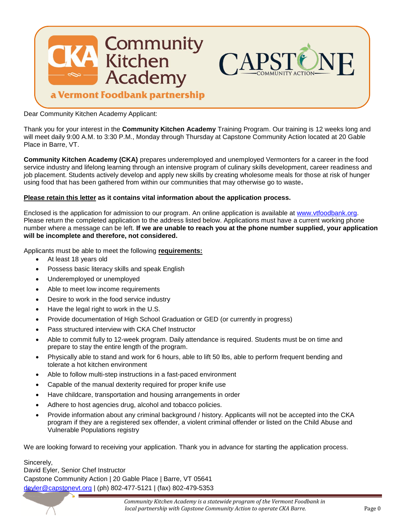

Dear Community Kitchen Academy Applicant:

Thank you for your interest in the **Community Kitchen Academy** Training Program. Our training is 12 weeks long and will meet daily 9:00 A.M. to 3:30 P.M., Monday through Thursday at Capstone Community Action located at 20 Gable Place in Barre, VT.

**Community Kitchen Academy (CKA)** prepares underemployed and unemployed Vermonters for a career in the food service industry and lifelong learning through an intensive program of culinary skills development, career readiness and job placement. Students actively develop and apply new skills by creating wholesome meals for those at risk of hunger using food that has been gathered from within our communities that may otherwise go to waste**.**

#### **Please retain this letter as it contains vital information about the application process.**

Enclosed is the application for admission to our program. An online application is available at [www.vtfoodbank.org.](http://www.vtfoodbank.org/) Please return the completed application to the address listed below. Applications must have a current working phone number where a message can be left. **If we are unable to reach you at the phone number supplied, your application will be incomplete and therefore, not considered.**

Applicants must be able to meet the following **requirements:**

- At least 18 years old
- Possess basic literacy skills and speak English
- Underemployed or unemployed
- Able to meet low income requirements
- Desire to work in the food service industry
- Have the legal right to work in the U.S.
- Provide documentation of High School Graduation or GED (or currently in progress)
- Pass structured interview with CKA Chef Instructor
- Able to commit fully to 12-week program. Daily attendance is required. Students must be on time and prepare to stay the entire length of the program.
- Physically able to stand and work for 6 hours, able to lift 50 lbs, able to perform frequent bending and tolerate a hot kitchen environment
- Able to follow multi-step instructions in a fast-paced environment
- Capable of the manual dexterity required for proper knife use
- Have childcare, transportation and housing arrangements in order
- Adhere to host agencies drug, alcohol and tobacco policies.
- Provide information about any criminal background / history. Applicants will not be accepted into the CKA program if they are a registered sex offender, a violent criminal offender or listed on the Child Abuse and Vulnerable Populations registry

We are looking forward to receiving your application. Thank you in advance for starting the application process.

Sincerely, David Eyler, Senior Chef Instructor Capstone Community Action | 20 Gable Place | Barre, VT 05641 [deyler@capstonevt.org](mailto:deyler@capstonevt.org) | (ph) 802-477-5121 | (fax) 802-479-5353

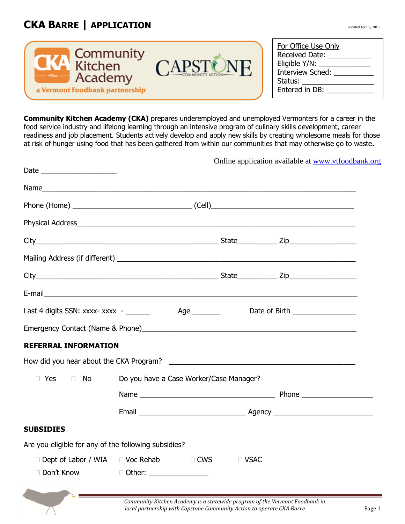# **CKA BARRE | APPLICATION** updated April 1, 2016



| For Office Use Only |
|---------------------|
| Received Date:      |
| Eligible Y/N: _     |
| Interview Sched:    |
| Status:             |
| Entered in DB:      |

**Community Kitchen Academy (CKA)** prepares underemployed and unemployed Vermonters for a career in the food service industry and lifelong learning through an intensive program of culinary skills development, career readiness and job placement. Students actively develop and apply new skills by creating wholesome meals for those at risk of hunger using food that has been gathered from within our communities that may otherwise go to waste**.**

|                                                      |                                                                                  |             | Online application available at www.vtfoodbank.org |
|------------------------------------------------------|----------------------------------------------------------------------------------|-------------|----------------------------------------------------|
|                                                      |                                                                                  |             |                                                    |
|                                                      |                                                                                  |             |                                                    |
|                                                      |                                                                                  |             |                                                    |
|                                                      |                                                                                  |             |                                                    |
|                                                      |                                                                                  |             |                                                    |
|                                                      |                                                                                  |             |                                                    |
|                                                      |                                                                                  |             |                                                    |
|                                                      | Last 4 digits SSN: xxxx- xxxx - _______ Age _______ Date of Birth ______________ |             |                                                    |
|                                                      |                                                                                  |             |                                                    |
| <b>REFERRAL INFORMATION</b>                          |                                                                                  |             |                                                    |
|                                                      |                                                                                  |             |                                                    |
| $\Box$ Yes<br><b>Example 1</b>                       | Do you have a Case Worker/Case Manager?                                          |             |                                                    |
|                                                      |                                                                                  |             |                                                    |
|                                                      |                                                                                  |             |                                                    |
| <b>SUBSIDIES</b>                                     |                                                                                  |             |                                                    |
| Are you eligible for any of the following subsidies? |                                                                                  |             |                                                    |
|                                                      | □ Dept of Labor / WIA □ Voc Rehab □ CWS                                          | $\Box$ VSAC |                                                    |
|                                                      | □ Don't Know □ Other: ______________                                             |             |                                                    |
| and the contract of the contract of                  |                                                                                  |             |                                                    |

 *Community Kitchen Academy is a statewide program of the Vermont Foodbank in local partnership with Capstone Community Action to operate CKA Barre.* Page 1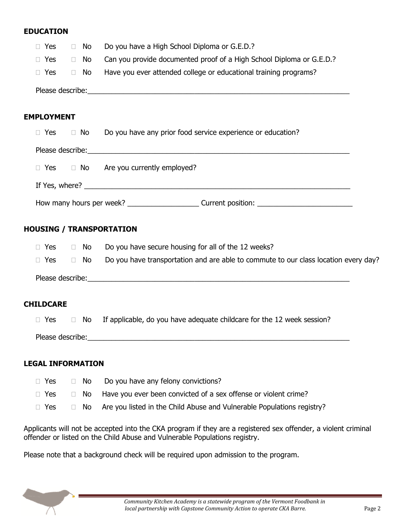## **EDUCATION**

| $\Box$ Yes       | ∩ No | Do you have a High School Diploma or G.E.D.?                         |  |
|------------------|------|----------------------------------------------------------------------|--|
| $\Box$ Yes       | □ No | Can you provide documented proof of a High School Diploma or G.E.D.? |  |
| $\Box$ Yes       | ∩ No | Have you ever attended college or educational training programs?     |  |
| Please describe: |      |                                                                      |  |

## **EMPLOYMENT**

| $\Box$ Yes | $\Box$ No | Do you have any prior food service experience or education?                                                                                                                                                                   |
|------------|-----------|-------------------------------------------------------------------------------------------------------------------------------------------------------------------------------------------------------------------------------|
|            |           | Please describe: the contract of the contract of the contract of the contract of the contract of the contract of the contract of the contract of the contract of the contract of the contract of the contract of the contract |
|            |           | $\Box$ Yes $\Box$ No Are you currently employed?                                                                                                                                                                              |
|            |           |                                                                                                                                                                                                                               |
|            |           |                                                                                                                                                                                                                               |

## **HOUSING / TRANSPORTATION**

| □ Yes            | $\Box$ No | Do you have secure housing for all of the 12 weeks?                                 |
|------------------|-----------|-------------------------------------------------------------------------------------|
| $\Box$ Yes       | ∩ No      | Do you have transportation and are able to commute to our class location every day? |
| Please describe: |           |                                                                                     |

#### **CHILDCARE**

 $\Box$  Yes  $\Box$  No If applicable, do you have adequate childcare for the 12 week session?

Please describe:

#### **LEGAL INFORMATION**

| $\Box$ Yes | $\Box$ No $\Box$ Do you have any felony convictions?                                        |
|------------|---------------------------------------------------------------------------------------------|
|            | $\Box$ Yes $\Box$ No Have you ever been convicted of a sex offense or violent crime?        |
|            | $\Box$ Yes $\Box$ No Are you listed in the Child Abuse and Vulnerable Populations registry? |

Applicants will not be accepted into the CKA program if they are a registered sex offender, a violent criminal offender or listed on the Child Abuse and Vulnerable Populations registry.

Please note that a background check will be required upon admission to the program.

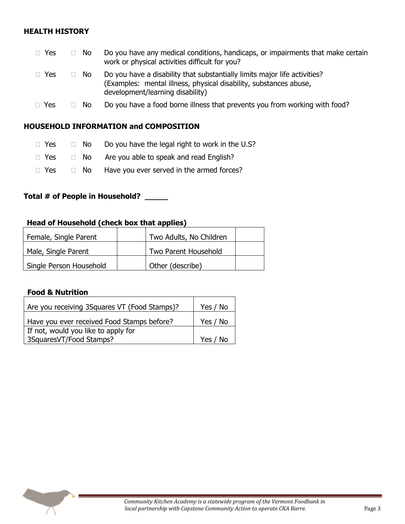## **HEALTH HISTORY**

| $\Box$ Yes | □ No | Do you have any medical conditions, handicaps, or impairments that make certain<br>work or physical activities difficult for you?                                                  |
|------------|------|------------------------------------------------------------------------------------------------------------------------------------------------------------------------------------|
| $\Box$ Yes | -No  | Do you have a disability that substantially limits major life activities?<br>(Examples: mental illness, physical disability, substances abuse,<br>development/learning disability) |
| $\Box$ Yes | No.  | Do you have a food borne illness that prevents you from working with food?                                                                                                         |

#### **HOUSEHOLD INFORMATION and COMPOSITION**

- $\Box$  Yes  $\Box$  No Do you have the legal right to work in the U.S?
- $\Box$  Yes  $\Box$  No Are you able to speak and read English?
- $\Box$  Yes  $\Box$  No Have you ever served in the armed forces?

## **Total # of People in Household? \_\_\_\_\_**

#### **Head of Household (check box that applies)**

| Female, Single Parent   | Two Adults, No Children |  |
|-------------------------|-------------------------|--|
| Male, Single Parent     | Two Parent Household    |  |
| Single Person Household | Other (describe)        |  |

#### **Food & Nutrition**

| Are you receiving 3Squares VT (Food Stamps)? | Yes / No |
|----------------------------------------------|----------|
| Have you ever received Food Stamps before?   | Yes / No |
| If not, would you like to apply for          |          |
| 3SquaresVT/Food Stamps?                      | Yes / No |

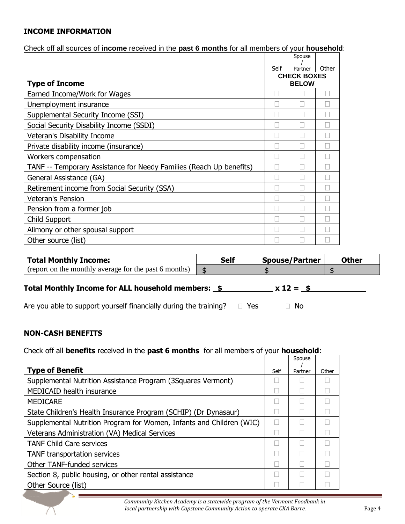## **INCOME INFORMATION**

Check off all sources of **income** received in the **past 6 months** for all members of your **household**:

|                                                                     |      | Spouse             |       |
|---------------------------------------------------------------------|------|--------------------|-------|
|                                                                     | Self | Partner            | Other |
|                                                                     |      | <b>CHECK BOXES</b> |       |
| <b>Type of Income</b>                                               |      | <b>BELOW</b>       |       |
| Earned Income/Work for Wages                                        |      |                    |       |
| Unemployment insurance                                              |      |                    |       |
| Supplemental Security Income (SSI)                                  |      |                    |       |
| Social Security Disability Income (SSDI)                            |      |                    |       |
| <b>Veteran's Disability Income</b>                                  |      |                    |       |
| Private disability income (insurance)                               |      |                    |       |
| Workers compensation                                                |      |                    |       |
| TANF -- Temporary Assistance for Needy Families (Reach Up benefits) |      |                    |       |
| General Assistance (GA)                                             |      |                    |       |
| Retirement income from Social Security (SSA)                        |      |                    |       |
| Veteran's Pension                                                   |      |                    |       |
| Pension from a former job                                           |      |                    |       |
| Child Support                                                       |      |                    |       |
| Alimony or other spousal support                                    |      |                    |       |
| Other source (list)                                                 |      |                    |       |

| <b>Total Monthly Income:</b>                          | <b>Self</b> | <b>Spouse/Partner</b> | <b>Other</b> |
|-------------------------------------------------------|-------------|-----------------------|--------------|
| (report on the monthly average for the past 6 months) |             |                       |              |

## Total Monthly Income for ALL household members:  $\frac{2}{3}$  x 12 =  $\frac{2}{3}$

Are you able to support yourself financially during the training?  $\Box$  Yes  $\Box$  No

## **NON-CASH BENEFITS**

## Check off all **benefits** received in the **past 6 months** for all members of your **household**:

|                                                                      |      | Spouse  |       |
|----------------------------------------------------------------------|------|---------|-------|
| <b>Type of Benefit</b>                                               | Self | Partner | Other |
| Supplemental Nutrition Assistance Program (3Squares Vermont)         |      |         |       |
| <b>MEDICAID health insurance</b>                                     |      |         |       |
| <b>MEDICARE</b>                                                      |      |         |       |
| State Children's Health Insurance Program (SCHIP) (Dr Dynasaur)      |      |         |       |
| Supplemental Nutrition Program for Women, Infants and Children (WIC) | L    |         |       |
| Veterans Administration (VA) Medical Services                        |      |         |       |
| <b>TANF Child Care services</b>                                      |      |         |       |
| TANF transportation services                                         |      |         |       |
| <b>Other TANF-funded services</b>                                    |      |         |       |
| Section 8, public housing, or other rental assistance                |      |         |       |
| Other Source (list)                                                  |      |         |       |

 *Community Kitchen Academy is a statewide program of the Vermont Foodbank in local partnership with Capstone Community Action to operate CKA Barre.* Page 4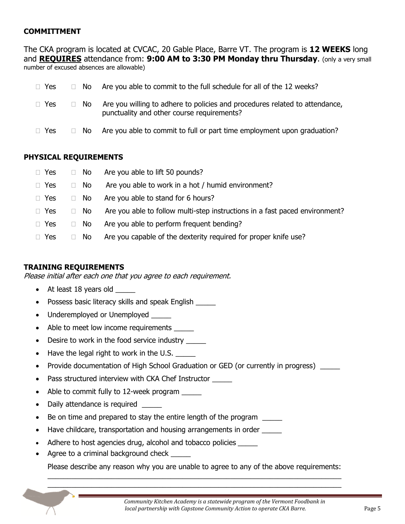## **COMMITTMENT**

The CKA program is located at CVCAC, 20 Gable Place, Barre VT. The program is **12 WEEKS** long and **REQUIRES** attendance from: **9:00 AM to 3:30 PM Monday thru Thursday**. (only a very small number of excused absences are allowable)

| $\Box$ Yes |                  | $\Box$ No Are you able to commit to the full schedule for all of the 12 weeks?                                            |
|------------|------------------|---------------------------------------------------------------------------------------------------------------------------|
| $\Box$ Yes | ⊟ No             | Are you willing to adhere to policies and procedures related to attendance,<br>punctuality and other course requirements? |
| $\Box$ Yes | <b>The State</b> | No Are you able to commit to full or part time employment upon graduation?                                                |

#### **PHYSICAL REQUIREMENTS**

| $\Box$ Yes | $\Box$ No              | Are you able to lift 50 pounds?                                             |
|------------|------------------------|-----------------------------------------------------------------------------|
| $\Box$ Yes | - No<br>$\mathbb{R}^n$ | Are you able to work in a hot / humid environment?                          |
| $\Box$ Yes | - No<br>$\Box$         | Are you able to stand for 6 hours?                                          |
| $\Box$ Yes | No.<br>П.              | Are you able to follow multi-step instructions in a fast paced environment? |
| $\Box$ Yes | No<br>$\mathbb{R}^n$   | Are you able to perform frequent bending?                                   |
| $\Box$ Yes | No.                    | Are you capable of the dexterity required for proper knife use?             |

## **TRAINING REQUIREMENTS**

Please initial after each one that you agree to each requirement.

- At least 18 years old
- Possess basic literacy skills and speak English \_\_\_\_\_
- Underemployed or Unemployed \_\_\_\_\_
- Able to meet low income requirements
- Desire to work in the food service industry \_\_\_\_\_
- $\bullet$  Have the legal right to work in the U.S.
- Provide documentation of High School Graduation or GED (or currently in progress)
- Pass structured interview with CKA Chef Instructor \_\_\_\_\_
- Able to commit fully to 12-week program \_\_\_\_\_
- Daily attendance is required
- Be on time and prepared to stay the entire length of the program
- Have childcare, transportation and housing arrangements in order
- Adhere to host agencies drug, alcohol and tobacco policies
- Agree to a criminal background check \_\_\_\_\_

Please describe any reason why you are unable to agree to any of the above requirements:  $\_$  , and the set of the set of the set of the set of the set of the set of the set of the set of the set of the set of the set of the set of the set of the set of the set of the set of the set of the set of the set of th

 $\_$  , and the set of the set of the set of the set of the set of the set of the set of the set of the set of the set of the set of the set of the set of the set of the set of the set of the set of the set of the set of th